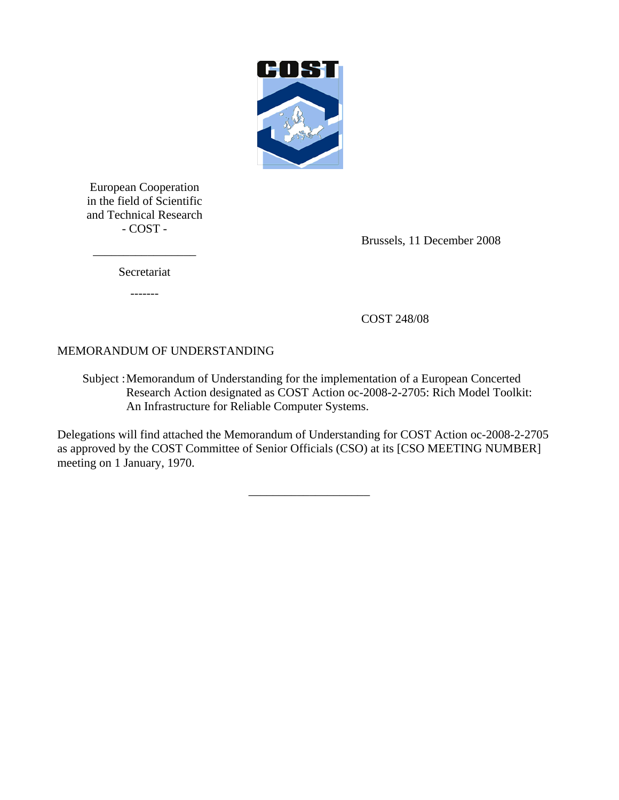

European Cooperation in the field of Scientific and Technical Research - COST -

Brussels, 11 December 2008

Secretariat

\_\_\_\_\_\_\_\_\_\_\_\_\_\_\_\_\_

-------

COST 248/08

# MEMORANDUM OF UNDERSTANDING

Subject : Memorandum of Understanding for the implementation of a European Concerted Research Action designated as COST Action oc-2008-2-2705: Rich Model Toolkit: An Infrastructure for Reliable Computer Systems.

Delegations will find attached the Memorandum of Understanding for COST Action oc-2008-2-2705 as approved by the COST Committee of Senior Officials (CSO) at its [CSO MEETING NUMBER] meeting on 1 January, 1970.

\_\_\_\_\_\_\_\_\_\_\_\_\_\_\_\_\_\_\_\_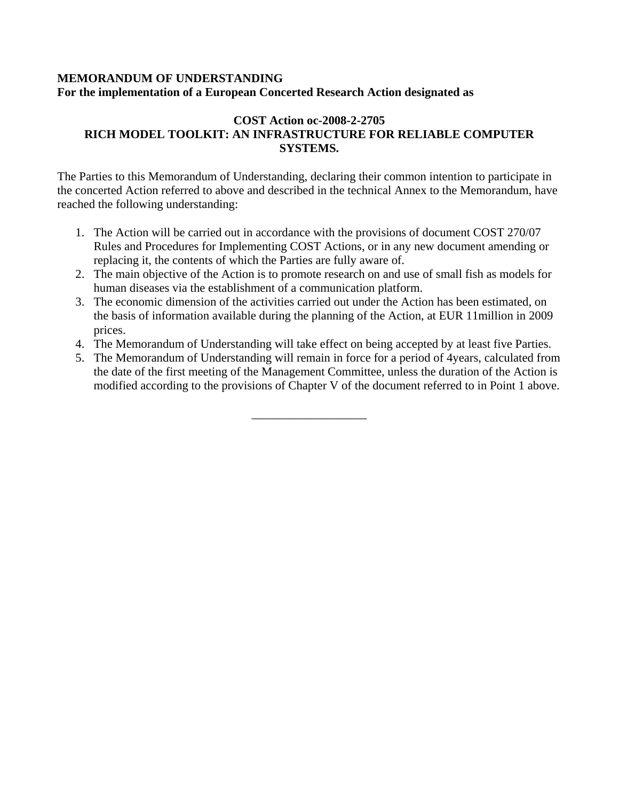#### **MEMORANDUM OF UNDERSTANDING For the implementation of a European Concerted Research Action designated as**

### **COST Action oc-2008-2-2705 RICH MODEL TOOLKIT: AN INFRASTRUCTURE FOR RELIABLE COMPUTER SYSTEMS.**

The Parties to this Memorandum of Understanding, declaring their common intention to participate in the concerted Action referred to above and described in the technical Annex to the Memorandum, have reached the following understanding:

- 1. The Action will be carried out in accordance with the provisions of document COST 270/07 Rules and Procedures for Implementing COST Actions, or in any new document amending or replacing it, the contents of which the Parties are fully aware of.
- 2. The main objective of the Action is to promote research on and use of small fish as models for human diseases via the establishment of a communication platform.
- 3. The economic dimension of the activities carried out under the Action has been estimated, on the basis of information available during the planning of the Action, at EUR 11million in 2009 prices.
- 4. The Memorandum of Understanding will take effect on being accepted by at least five Parties.
- 5. The Memorandum of Understanding will remain in force for a period of 4years, calculated from the date of the first meeting of the Management Committee, unless the duration of the Action is modified according to the provisions of Chapter V of the document referred to in Point 1 above.

\_\_\_\_\_\_\_\_\_\_\_\_\_\_\_\_\_\_\_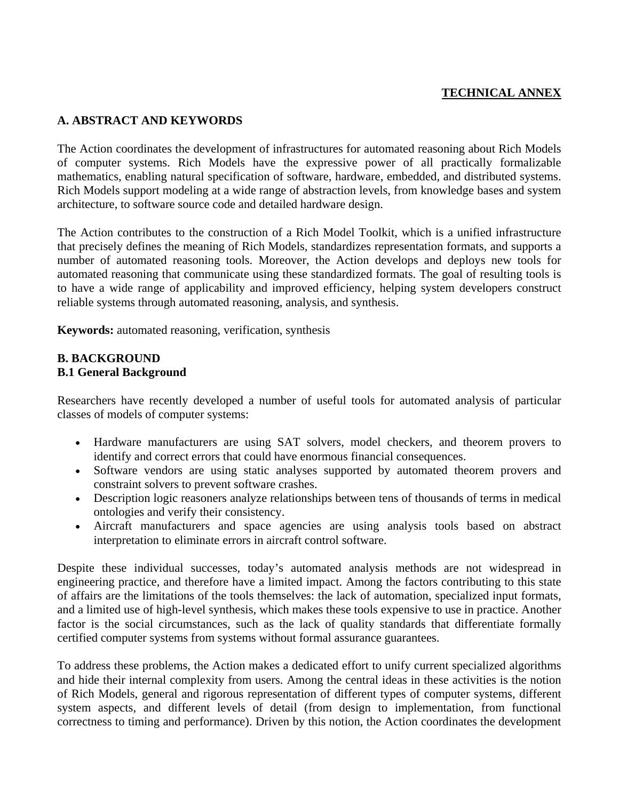# **TECHNICAL ANNEX**

#### **A. ABSTRACT AND KEYWORDS**

The Action coordinates the development of infrastructures for automated reasoning about Rich Models of computer systems. Rich Models have the expressive power of all practically formalizable mathematics, enabling natural specification of software, hardware, embedded, and distributed systems. Rich Models support modeling at a wide range of abstraction levels, from knowledge bases and system architecture, to software source code and detailed hardware design.

The Action contributes to the construction of a Rich Model Toolkit, which is a unified infrastructure that precisely defines the meaning of Rich Models, standardizes representation formats, and supports a number of automated reasoning tools. Moreover, the Action develops and deploys new tools for automated reasoning that communicate using these standardized formats. The goal of resulting tools is to have a wide range of applicability and improved efficiency, helping system developers construct reliable systems through automated reasoning, analysis, and synthesis.

**Keywords:** automated reasoning, verification, synthesis

#### **B. BACKGROUND B.1 General Background**

Researchers have recently developed a number of useful tools for automated analysis of particular classes of models of computer systems:

- Hardware manufacturers are using SAT solvers, model checkers, and theorem provers to identify and correct errors that could have enormous financial consequences.
- Software vendors are using static analyses supported by automated theorem provers and constraint solvers to prevent software crashes.
- Description logic reasoners analyze relationships between tens of thousands of terms in medical ontologies and verify their consistency.
- Aircraft manufacturers and space agencies are using analysis tools based on abstract interpretation to eliminate errors in aircraft control software.

Despite these individual successes, today's automated analysis methods are not widespread in engineering practice, and therefore have a limited impact. Among the factors contributing to this state of affairs are the limitations of the tools themselves: the lack of automation, specialized input formats, and a limited use of high-level synthesis, which makes these tools expensive to use in practice. Another factor is the social circumstances, such as the lack of quality standards that differentiate formally certified computer systems from systems without formal assurance guarantees.

To address these problems, the Action makes a dedicated effort to unify current specialized algorithms and hide their internal complexity from users. Among the central ideas in these activities is the notion of Rich Models, general and rigorous representation of different types of computer systems, different system aspects, and different levels of detail (from design to implementation, from functional correctness to timing and performance). Driven by this notion, the Action coordinates the development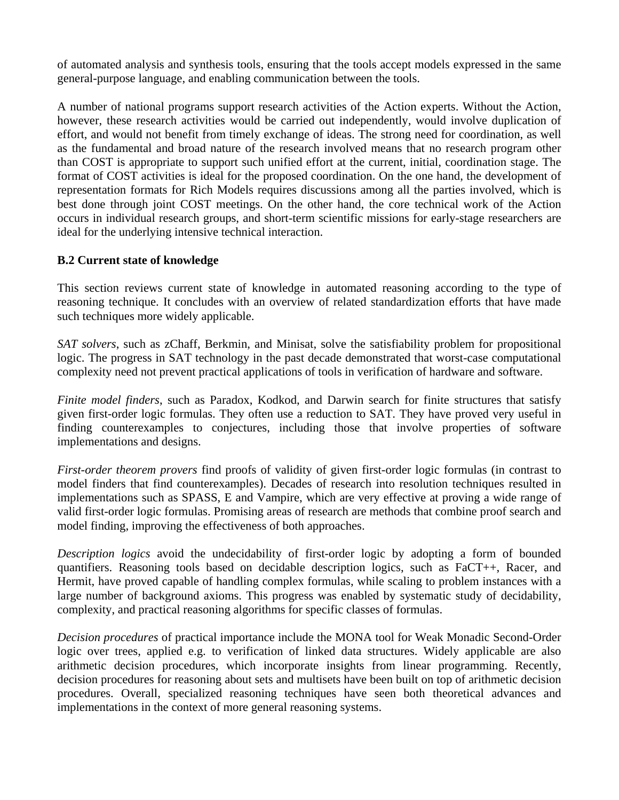of automated analysis and synthesis tools, ensuring that the tools accept models expressed in the same general-purpose language, and enabling communication between the tools.

A number of national programs support research activities of the Action experts. Without the Action, however, these research activities would be carried out independently, would involve duplication of effort, and would not benefit from timely exchange of ideas. The strong need for coordination, as well as the fundamental and broad nature of the research involved means that no research program other than COST is appropriate to support such unified effort at the current, initial, coordination stage. The format of COST activities is ideal for the proposed coordination. On the one hand, the development of representation formats for Rich Models requires discussions among all the parties involved, which is best done through joint COST meetings. On the other hand, the core technical work of the Action occurs in individual research groups, and short-term scientific missions for early-stage researchers are ideal for the underlying intensive technical interaction.

#### **B.2 Current state of knowledge**

This section reviews current state of knowledge in automated reasoning according to the type of reasoning technique. It concludes with an overview of related standardization efforts that have made such techniques more widely applicable.

*SAT solvers*, such as zChaff, Berkmin, and Minisat, solve the satisfiability problem for propositional logic. The progress in SAT technology in the past decade demonstrated that worst-case computational complexity need not prevent practical applications of tools in verification of hardware and software.

*Finite model finders*, such as Paradox, Kodkod, and Darwin search for finite structures that satisfy given first-order logic formulas. They often use a reduction to SAT. They have proved very useful in finding counterexamples to conjectures, including those that involve properties of software implementations and designs.

*First-order theorem provers* find proofs of validity of given first-order logic formulas (in contrast to model finders that find counterexamples). Decades of research into resolution techniques resulted in implementations such as SPASS, E and Vampire, which are very effective at proving a wide range of valid first-order logic formulas. Promising areas of research are methods that combine proof search and model finding, improving the effectiveness of both approaches.

*Description logics* avoid the undecidability of first-order logic by adopting a form of bounded quantifiers. Reasoning tools based on decidable description logics, such as FaCT++, Racer, and Hermit, have proved capable of handling complex formulas, while scaling to problem instances with a large number of background axioms. This progress was enabled by systematic study of decidability, complexity, and practical reasoning algorithms for specific classes of formulas.

*Decision procedures* of practical importance include the MONA tool for Weak Monadic Second-Order logic over trees, applied e.g. to verification of linked data structures. Widely applicable are also arithmetic decision procedures, which incorporate insights from linear programming. Recently, decision procedures for reasoning about sets and multisets have been built on top of arithmetic decision procedures. Overall, specialized reasoning techniques have seen both theoretical advances and implementations in the context of more general reasoning systems.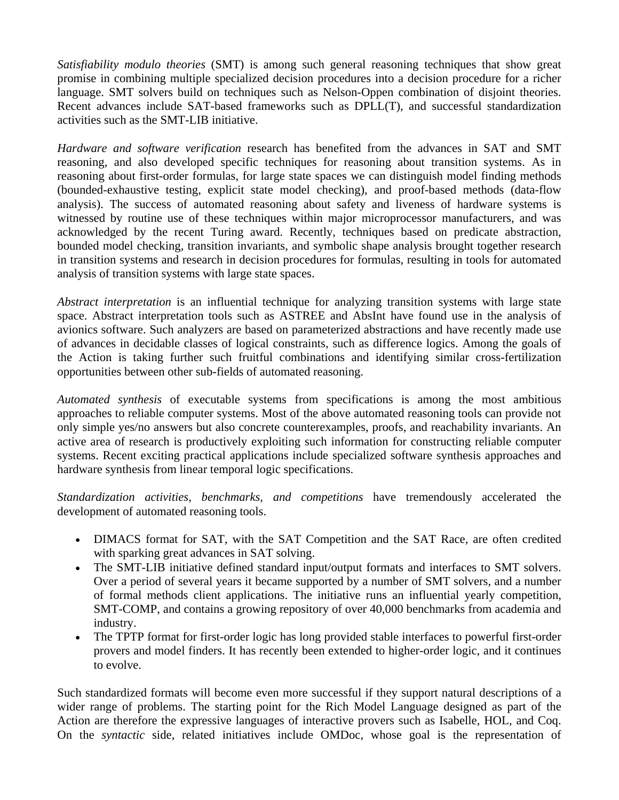*Satisfiability modulo theories* (SMT) is among such general reasoning techniques that show great promise in combining multiple specialized decision procedures into a decision procedure for a richer language. SMT solvers build on techniques such as Nelson-Oppen combination of disjoint theories. Recent advances include SAT-based frameworks such as DPLL(T), and successful standardization activities such as the SMT-LIB initiative.

*Hardware and software verification* research has benefited from the advances in SAT and SMT reasoning, and also developed specific techniques for reasoning about transition systems. As in reasoning about first-order formulas, for large state spaces we can distinguish model finding methods (bounded-exhaustive testing, explicit state model checking), and proof-based methods (data-flow analysis). The success of automated reasoning about safety and liveness of hardware systems is witnessed by routine use of these techniques within major microprocessor manufacturers, and was acknowledged by the recent Turing award. Recently, techniques based on predicate abstraction, bounded model checking, transition invariants, and symbolic shape analysis brought together research in transition systems and research in decision procedures for formulas, resulting in tools for automated analysis of transition systems with large state spaces.

*Abstract interpretation* is an influential technique for analyzing transition systems with large state space. Abstract interpretation tools such as ASTREE and AbsInt have found use in the analysis of avionics software. Such analyzers are based on parameterized abstractions and have recently made use of advances in decidable classes of logical constraints, such as difference logics. Among the goals of the Action is taking further such fruitful combinations and identifying similar cross-fertilization opportunities between other sub-fields of automated reasoning.

*Automated synthesis* of executable systems from specifications is among the most ambitious approaches to reliable computer systems. Most of the above automated reasoning tools can provide not only simple yes/no answers but also concrete counterexamples, proofs, and reachability invariants. An active area of research is productively exploiting such information for constructing reliable computer systems. Recent exciting practical applications include specialized software synthesis approaches and hardware synthesis from linear temporal logic specifications.

*Standardization activities, benchmarks, and competitions* have tremendously accelerated the development of automated reasoning tools.

- DIMACS format for SAT, with the SAT Competition and the SAT Race, are often credited with sparking great advances in SAT solving.
- The SMT-LIB initiative defined standard input/output formats and interfaces to SMT solvers. Over a period of several years it became supported by a number of SMT solvers, and a number of formal methods client applications. The initiative runs an influential yearly competition, SMT-COMP, and contains a growing repository of over 40,000 benchmarks from academia and industry.
- The TPTP format for first-order logic has long provided stable interfaces to powerful first-order provers and model finders. It has recently been extended to higher-order logic, and it continues to evolve.

Such standardized formats will become even more successful if they support natural descriptions of a wider range of problems. The starting point for the Rich Model Language designed as part of the Action are therefore the expressive languages of interactive provers such as Isabelle, HOL, and Coq. On the *syntactic* side, related initiatives include OMDoc, whose goal is the representation of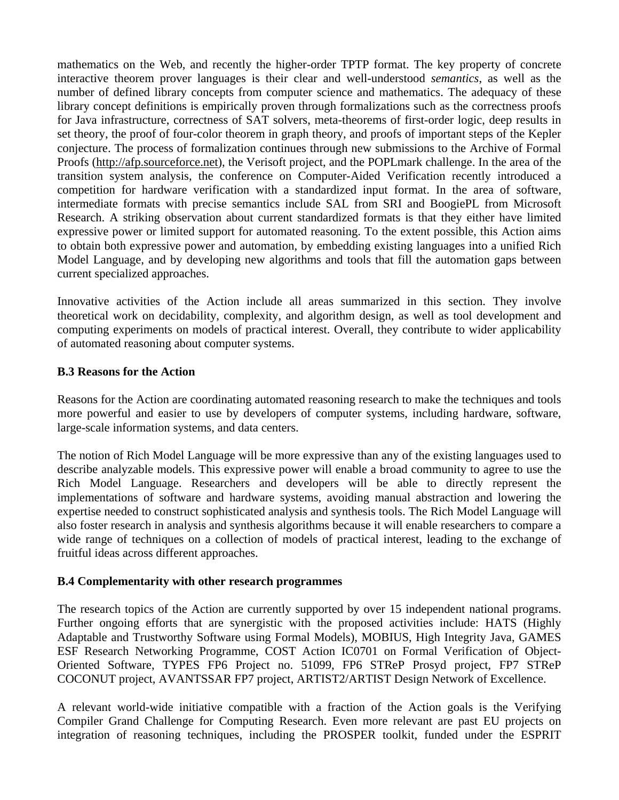mathematics on the Web, and recently the higher-order TPTP format. The key property of concrete interactive theorem prover languages is their clear and well-understood *semantics*, as well as the number of defined library concepts from computer science and mathematics. The adequacy of these library concept definitions is empirically proven through formalizations such as the correctness proofs for Java infrastructure, correctness of SAT solvers, meta-theorems of first-order logic, deep results in set theory, the proof of four-color theorem in graph theory, and proofs of important steps of the Kepler conjecture. The process of formalization continues through new submissions to the Archive of Formal Proofs [\(http://afp.sourceforce.net\)](http://afp.sourceforce.net/), the Verisoft project, and the POPLmark challenge. In the area of the transition system analysis, the conference on Computer-Aided Verification recently introduced a competition for hardware verification with a standardized input format. In the area of software, intermediate formats with precise semantics include SAL from SRI and BoogiePL from Microsoft Research. A striking observation about current standardized formats is that they either have limited expressive power or limited support for automated reasoning. To the extent possible, this Action aims to obtain both expressive power and automation, by embedding existing languages into a unified Rich Model Language, and by developing new algorithms and tools that fill the automation gaps between current specialized approaches.

Innovative activities of the Action include all areas summarized in this section. They involve theoretical work on decidability, complexity, and algorithm design, as well as tool development and computing experiments on models of practical interest. Overall, they contribute to wider applicability of automated reasoning about computer systems.

#### **B.3 Reasons for the Action**

Reasons for the Action are coordinating automated reasoning research to make the techniques and tools more powerful and easier to use by developers of computer systems, including hardware, software, large-scale information systems, and data centers.

The notion of Rich Model Language will be more expressive than any of the existing languages used to describe analyzable models. This expressive power will enable a broad community to agree to use the Rich Model Language. Researchers and developers will be able to directly represent the implementations of software and hardware systems, avoiding manual abstraction and lowering the expertise needed to construct sophisticated analysis and synthesis tools. The Rich Model Language will also foster research in analysis and synthesis algorithms because it will enable researchers to compare a wide range of techniques on a collection of models of practical interest, leading to the exchange of fruitful ideas across different approaches.

#### **B.4 Complementarity with other research programmes**

The research topics of the Action are currently supported by over 15 independent national programs. Further ongoing efforts that are synergistic with the proposed activities include: HATS (Highly Adaptable and Trustworthy Software using Formal Models), MOBIUS, High Integrity Java, GAMES ESF Research Networking Programme, COST Action IC0701 on Formal Verification of Object-Oriented Software, TYPES FP6 Project no. 51099, FP6 STReP Prosyd project, FP7 STReP COCONUT project, AVANTSSAR FP7 project, ARTIST2/ARTIST Design Network of Excellence.

A relevant world-wide initiative compatible with a fraction of the Action goals is the Verifying Compiler Grand Challenge for Computing Research. Even more relevant are past EU projects on integration of reasoning techniques, including the PROSPER toolkit, funded under the ESPRIT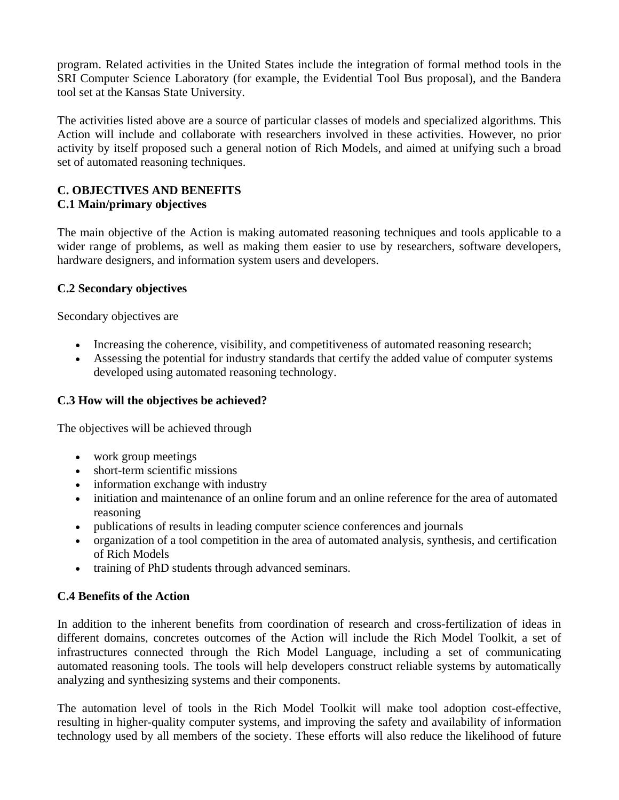program. Related activities in the United States include the integration of formal method tools in the SRI Computer Science Laboratory (for example, the Evidential Tool Bus proposal), and the Bandera tool set at the Kansas State University.

The activities listed above are a source of particular classes of models and specialized algorithms. This Action will include and collaborate with researchers involved in these activities. However, no prior activity by itself proposed such a general notion of Rich Models, and aimed at unifying such a broad set of automated reasoning techniques.

#### **C. OBJECTIVES AND BENEFITS C.1 Main/primary objectives**

The main objective of the Action is making automated reasoning techniques and tools applicable to a wider range of problems, as well as making them easier to use by researchers, software developers, hardware designers, and information system users and developers.

### **C.2 Secondary objectives**

Secondary objectives are

- Increasing the coherence, visibility, and competitiveness of automated reasoning research;
- Assessing the potential for industry standards that certify the added value of computer systems developed using automated reasoning technology.

# **C.3 How will the objectives be achieved?**

The objectives will be achieved through

- work group meetings
- short-term scientific missions
- information exchange with industry
- initiation and maintenance of an online forum and an online reference for the area of automated reasoning
- publications of results in leading computer science conferences and journals
- organization of a tool competition in the area of automated analysis, synthesis, and certification of Rich Models
- training of PhD students through advanced seminars.

### **C.4 Benefits of the Action**

In addition to the inherent benefits from coordination of research and cross-fertilization of ideas in different domains, concretes outcomes of the Action will include the Rich Model Toolkit, a set of infrastructures connected through the Rich Model Language, including a set of communicating automated reasoning tools. The tools will help developers construct reliable systems by automatically analyzing and synthesizing systems and their components.

The automation level of tools in the Rich Model Toolkit will make tool adoption cost-effective, resulting in higher-quality computer systems, and improving the safety and availability of information technology used by all members of the society. These efforts will also reduce the likelihood of future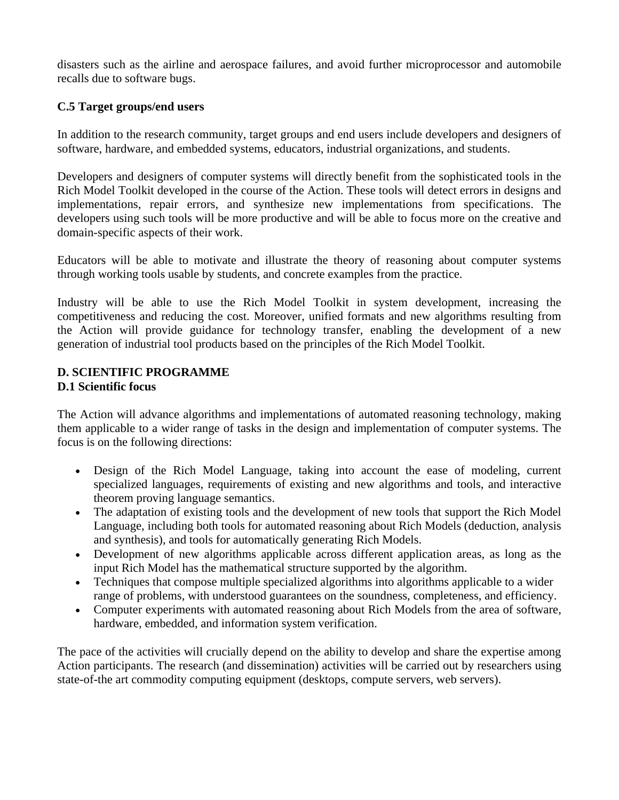disasters such as the airline and aerospace failures, and avoid further microprocessor and automobile recalls due to software bugs.

### **C.5 Target groups/end users**

In addition to the research community, target groups and end users include developers and designers of software, hardware, and embedded systems, educators, industrial organizations, and students.

Developers and designers of computer systems will directly benefit from the sophisticated tools in the Rich Model Toolkit developed in the course of the Action. These tools will detect errors in designs and implementations, repair errors, and synthesize new implementations from specifications. The developers using such tools will be more productive and will be able to focus more on the creative and domain-specific aspects of their work.

Educators will be able to motivate and illustrate the theory of reasoning about computer systems through working tools usable by students, and concrete examples from the practice.

Industry will be able to use the Rich Model Toolkit in system development, increasing the competitiveness and reducing the cost. Moreover, unified formats and new algorithms resulting from the Action will provide guidance for technology transfer, enabling the development of a new generation of industrial tool products based on the principles of the Rich Model Toolkit.

### **D. SCIENTIFIC PROGRAMME D.1 Scientific focus**

The Action will advance algorithms and implementations of automated reasoning technology, making them applicable to a wider range of tasks in the design and implementation of computer systems. The focus is on the following directions:

- Design of the Rich Model Language, taking into account the ease of modeling, current specialized languages, requirements of existing and new algorithms and tools, and interactive theorem proving language semantics.
- The adaptation of existing tools and the development of new tools that support the Rich Model Language, including both tools for automated reasoning about Rich Models (deduction, analysis and synthesis), and tools for automatically generating Rich Models.
- Development of new algorithms applicable across different application areas, as long as the input Rich Model has the mathematical structure supported by the algorithm.
- Techniques that compose multiple specialized algorithms into algorithms applicable to a wider range of problems, with understood guarantees on the soundness, completeness, and efficiency.
- Computer experiments with automated reasoning about Rich Models from the area of software, hardware, embedded, and information system verification.

The pace of the activities will crucially depend on the ability to develop and share the expertise among Action participants. The research (and dissemination) activities will be carried out by researchers using state-of-the art commodity computing equipment (desktops, compute servers, web servers).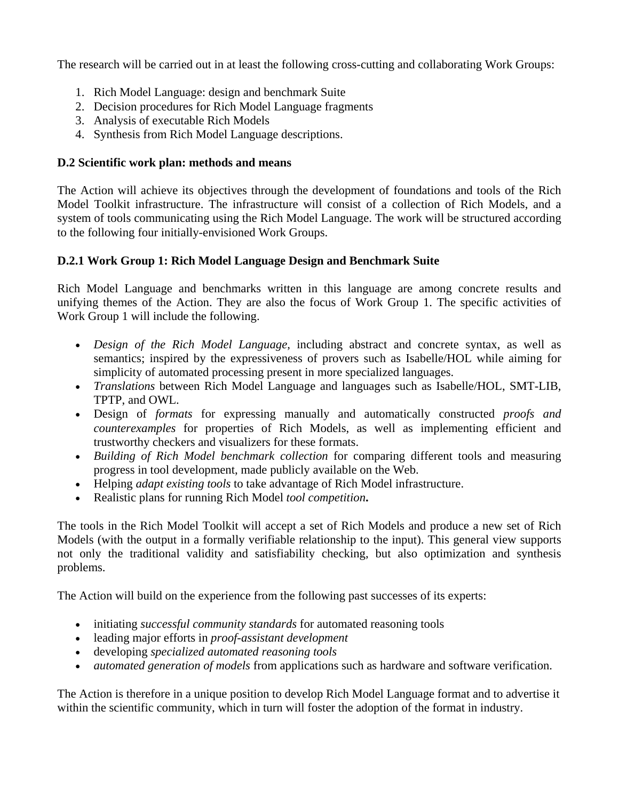The research will be carried out in at least the following cross-cutting and collaborating Work Groups:

- 1. Rich Model Language: design and benchmark Suite
- 2. Decision procedures for Rich Model Language fragments
- 3. Analysis of executable Rich Models
- 4. Synthesis from Rich Model Language descriptions.

# **D.2 Scientific work plan: methods and means**

The Action will achieve its objectives through the development of foundations and tools of the Rich Model Toolkit infrastructure. The infrastructure will consist of a collection of Rich Models, and a system of tools communicating using the Rich Model Language. The work will be structured according to the following four initially-envisioned Work Groups.

# **D.2.1 Work Group 1: Rich Model Language Design and Benchmark Suite**

Rich Model Language and benchmarks written in this language are among concrete results and unifying themes of the Action. They are also the focus of Work Group 1. The specific activities of Work Group 1 will include the following.

- *Design of the Rich Model Language*, including abstract and concrete syntax, as well as semantics; inspired by the expressiveness of provers such as Isabelle/HOL while aiming for simplicity of automated processing present in more specialized languages.
- *Translations* between Rich Model Language and languages such as Isabelle/HOL, SMT-LIB, TPTP, and OWL.
- Design of *formats* for expressing manually and automatically constructed *proofs and counterexamples* for properties of Rich Models, as well as implementing efficient and trustworthy checkers and visualizers for these formats.
- *Building of Rich Model benchmark collection* for comparing different tools and measuring progress in tool development, made publicly available on the Web.
- Helping *adapt existing tools* to take advantage of Rich Model infrastructure.
- Realistic plans for running Rich Model *tool competition***.**

The tools in the Rich Model Toolkit will accept a set of Rich Models and produce a new set of Rich Models (with the output in a formally verifiable relationship to the input). This general view supports not only the traditional validity and satisfiability checking, but also optimization and synthesis problems.

The Action will build on the experience from the following past successes of its experts:

- initiating *successful community standards* for automated reasoning tools
- leading major efforts in *proof-assistant development*
- developing *specialized automated reasoning tools*
- *automated generation of models* from applications such as hardware and software verification.

The Action is therefore in a unique position to develop Rich Model Language format and to advertise it within the scientific community, which in turn will foster the adoption of the format in industry.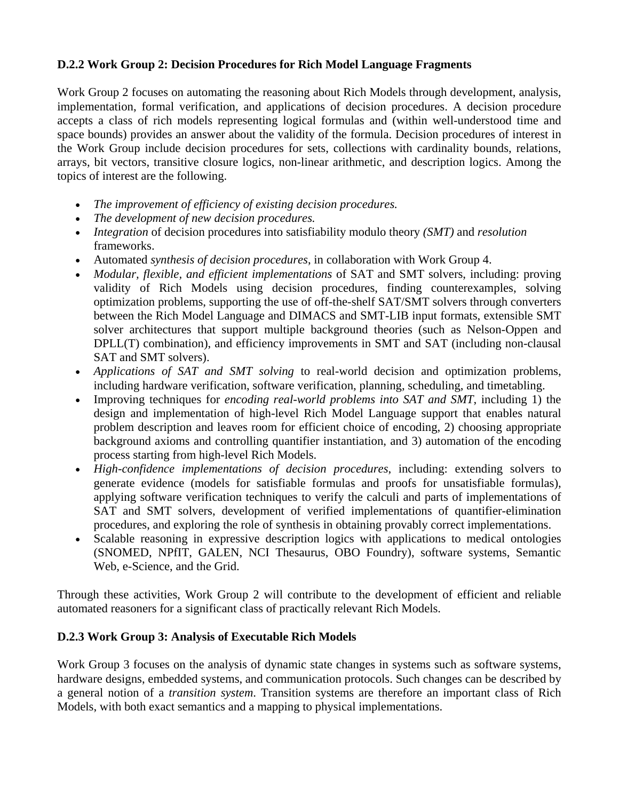### **D.2.2 Work Group 2: Decision Procedures for Rich Model Language Fragments**

Work Group 2 focuses on automating the reasoning about Rich Models through development, analysis, implementation, formal verification, and applications of decision procedures. A decision procedure accepts a class of rich models representing logical formulas and (within well-understood time and space bounds) provides an answer about the validity of the formula. Decision procedures of interest in the Work Group include decision procedures for sets, collections with cardinality bounds, relations, arrays, bit vectors, transitive closure logics, non-linear arithmetic, and description logics. Among the topics of interest are the following.

- *The improvement of efficiency of existing decision procedures.*
- *The development of new decision procedures.*
- *Integration* of decision procedures into satisfiability modulo theory *(SMT)* and *resolution* frameworks.
- Automated *synthesis of decision procedures*, in collaboration with Work Group 4.
- *Modular, flexible, and efficient implementations* of SAT and SMT solvers, including: proving validity of Rich Models using decision procedures, finding counterexamples, solving optimization problems, supporting the use of off-the-shelf SAT/SMT solvers through converters between the Rich Model Language and DIMACS and SMT-LIB input formats, extensible SMT solver architectures that support multiple background theories (such as Nelson-Oppen and DPLL(T) combination), and efficiency improvements in SMT and SAT (including non-clausal SAT and SMT solvers).
- *Applications of SAT and SMT solving* to real-world decision and optimization problems, including hardware verification, software verification, planning, scheduling, and timetabling.
- Improving techniques for *encoding real-world problems into SAT and SMT*, including 1) the design and implementation of high-level Rich Model Language support that enables natural problem description and leaves room for efficient choice of encoding, 2) choosing appropriate background axioms and controlling quantifier instantiation, and 3) automation of the encoding process starting from high-level Rich Models.
- *High-confidence implementations of decision procedures*, including: extending solvers to generate evidence (models for satisfiable formulas and proofs for unsatisfiable formulas), applying software verification techniques to verify the calculi and parts of implementations of SAT and SMT solvers, development of verified implementations of quantifier-elimination procedures, and exploring the role of synthesis in obtaining provably correct implementations.
- Scalable reasoning in expressive description logics with applications to medical ontologies (SNOMED, NPfIT, GALEN, NCI Thesaurus, OBO Foundry), software systems, Semantic Web, e-Science, and the Grid.

Through these activities, Work Group 2 will contribute to the development of efficient and reliable automated reasoners for a significant class of practically relevant Rich Models.

### **D.2.3 Work Group 3: Analysis of Executable Rich Models**

Work Group 3 focuses on the analysis of dynamic state changes in systems such as software systems, hardware designs, embedded systems, and communication protocols. Such changes can be described by a general notion of a *transition system*. Transition systems are therefore an important class of Rich Models, with both exact semantics and a mapping to physical implementations.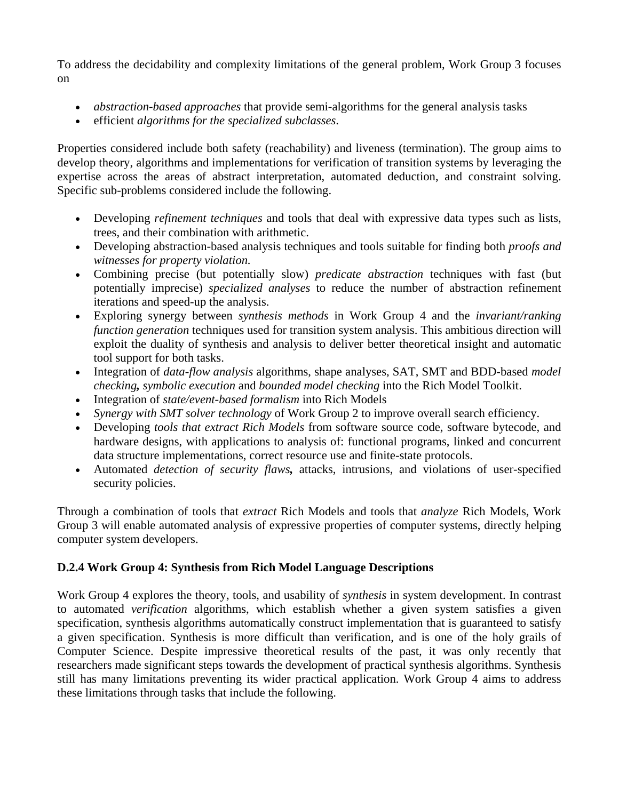To address the decidability and complexity limitations of the general problem, Work Group 3 focuses on

- *abstraction-based approaches* that provide semi-algorithms for the general analysis tasks
- efficient *algorithms for the specialized subclasses*.

Properties considered include both safety (reachability) and liveness (termination). The group aims to develop theory, algorithms and implementations for verification of transition systems by leveraging the expertise across the areas of abstract interpretation, automated deduction, and constraint solving. Specific sub-problems considered include the following.

- Developing *refinement techniques* and tools that deal with expressive data types such as lists, trees, and their combination with arithmetic.
- Developing abstraction-based analysis techniques and tools suitable for finding both *proofs and witnesses for property violation.*
- Combining precise (but potentially slow) *predicate abstraction* techniques with fast (but potentially imprecise) *specialized analyses* to reduce the number of abstraction refinement iterations and speed-up the analysis.
- Exploring synergy between *synthesis methods* in Work Group 4 and the *invariant/ranking function generation* techniques used for transition system analysis. This ambitious direction will exploit the duality of synthesis and analysis to deliver better theoretical insight and automatic tool support for both tasks.
- Integration of *data-flow analysis* algorithms, shape analyses, SAT, SMT and BDD-based *model checking, symbolic execution* and *bounded model checking* into the Rich Model Toolkit.
- Integration of *state/event-based formalism* into Rich Models
- *Synergy with SMT solver technology* of Work Group 2 to improve overall search efficiency.
- Developing *tools that extract Rich Models* from software source code, software bytecode, and hardware designs, with applications to analysis of: functional programs, linked and concurrent data structure implementations, correct resource use and finite-state protocols.
- Automated *detection of security flaws,* attacks, intrusions, and violations of user-specified security policies.

Through a combination of tools that *extract* Rich Models and tools that *analyze* Rich Models, Work Group 3 will enable automated analysis of expressive properties of computer systems, directly helping computer system developers.

# **D.2.4 Work Group 4: Synthesis from Rich Model Language Descriptions**

Work Group 4 explores the theory, tools, and usability of *synthesis* in system development. In contrast to automated *verification* algorithms, which establish whether a given system satisfies a given specification, synthesis algorithms automatically construct implementation that is guaranteed to satisfy a given specification. Synthesis is more difficult than verification, and is one of the holy grails of Computer Science. Despite impressive theoretical results of the past, it was only recently that researchers made significant steps towards the development of practical synthesis algorithms. Synthesis still has many limitations preventing its wider practical application. Work Group 4 aims to address these limitations through tasks that include the following.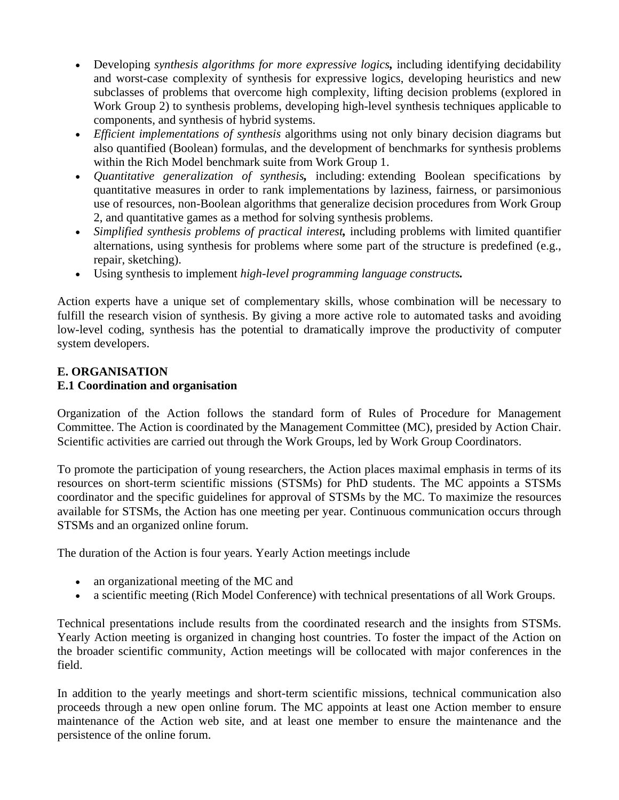- Developing *synthesis algorithms for more expressive logics,* including identifying decidability and worst-case complexity of synthesis for expressive logics, developing heuristics and new subclasses of problems that overcome high complexity, lifting decision problems (explored in Work Group 2) to synthesis problems, developing high-level synthesis techniques applicable to components, and synthesis of hybrid systems.
- *Efficient implementations of synthesis* algorithms using not only binary decision diagrams but also quantified (Boolean) formulas, and the development of benchmarks for synthesis problems within the Rich Model benchmark suite from Work Group 1.
- *Quantitative generalization of synthesis,* including: extending Boolean specifications by quantitative measures in order to rank implementations by laziness, fairness, or parsimonious use of resources, non-Boolean algorithms that generalize decision procedures from Work Group 2, and quantitative games as a method for solving synthesis problems.
- *Simplified synthesis problems of practical interest,* including problems with limited quantifier alternations, using synthesis for problems where some part of the structure is predefined (e.g., repair, sketching).
- Using synthesis to implement *high-level programming language constructs.*

Action experts have a unique set of complementary skills, whose combination will be necessary to fulfill the research vision of synthesis. By giving a more active role to automated tasks and avoiding low-level coding, synthesis has the potential to dramatically improve the productivity of computer system developers.

# **E. ORGANISATION E.1 Coordination and organisation**

Organization of the Action follows the standard form of Rules of Procedure for Management Committee. The Action is coordinated by the Management Committee (MC), presided by Action Chair. Scientific activities are carried out through the Work Groups, led by Work Group Coordinators.

To promote the participation of young researchers, the Action places maximal emphasis in terms of its resources on short-term scientific missions (STSMs) for PhD students. The MC appoints a STSMs coordinator and the specific guidelines for approval of STSMs by the MC. To maximize the resources available for STSMs, the Action has one meeting per year. Continuous communication occurs through STSMs and an organized online forum.

The duration of the Action is four years. Yearly Action meetings include

- an organizational meeting of the MC and
- a scientific meeting (Rich Model Conference) with technical presentations of all Work Groups.

Technical presentations include results from the coordinated research and the insights from STSMs. Yearly Action meeting is organized in changing host countries. To foster the impact of the Action on the broader scientific community, Action meetings will be collocated with major conferences in the field.

In addition to the yearly meetings and short-term scientific missions, technical communication also proceeds through a new open online forum. The MC appoints at least one Action member to ensure maintenance of the Action web site, and at least one member to ensure the maintenance and the persistence of the online forum.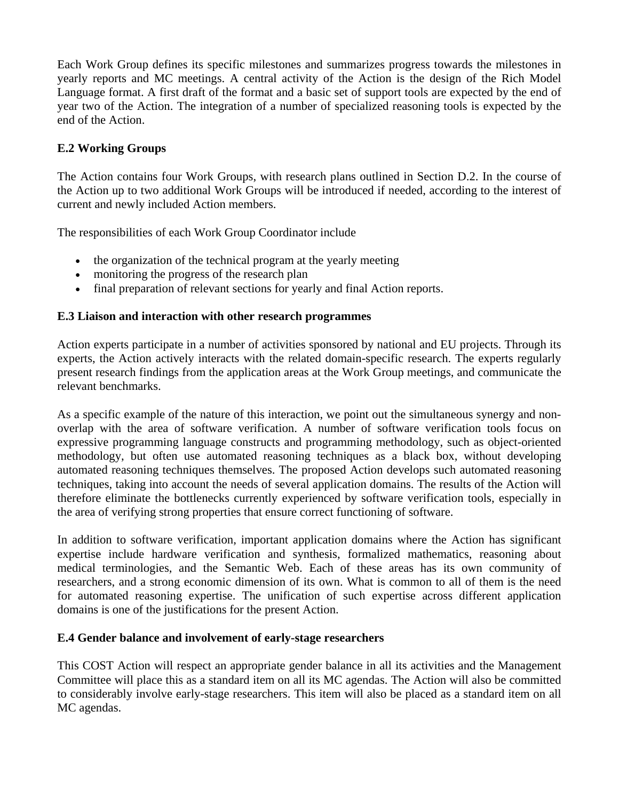Each Work Group defines its specific milestones and summarizes progress towards the milestones in yearly reports and MC meetings. A central activity of the Action is the design of the Rich Model Language format. A first draft of the format and a basic set of support tools are expected by the end of year two of the Action. The integration of a number of specialized reasoning tools is expected by the end of the Action.

# **E.2 Working Groups**

The Action contains four Work Groups, with research plans outlined in Section D.2. In the course of the Action up to two additional Work Groups will be introduced if needed, according to the interest of current and newly included Action members.

The responsibilities of each Work Group Coordinator include

- the organization of the technical program at the yearly meeting
- monitoring the progress of the research plan
- final preparation of relevant sections for yearly and final Action reports.

#### **E.3 Liaison and interaction with other research programmes**

Action experts participate in a number of activities sponsored by national and EU projects. Through its experts, the Action actively interacts with the related domain-specific research. The experts regularly present research findings from the application areas at the Work Group meetings, and communicate the relevant benchmarks.

As a specific example of the nature of this interaction, we point out the simultaneous synergy and nonoverlap with the area of software verification. A number of software verification tools focus on expressive programming language constructs and programming methodology, such as object-oriented methodology, but often use automated reasoning techniques as a black box, without developing automated reasoning techniques themselves. The proposed Action develops such automated reasoning techniques, taking into account the needs of several application domains. The results of the Action will therefore eliminate the bottlenecks currently experienced by software verification tools, especially in the area of verifying strong properties that ensure correct functioning of software.

In addition to software verification, important application domains where the Action has significant expertise include hardware verification and synthesis, formalized mathematics, reasoning about medical terminologies, and the Semantic Web. Each of these areas has its own community of researchers, and a strong economic dimension of its own. What is common to all of them is the need for automated reasoning expertise. The unification of such expertise across different application domains is one of the justifications for the present Action.

#### **E.4 Gender balance and involvement of early-stage researchers**

This COST Action will respect an appropriate gender balance in all its activities and the Management Committee will place this as a standard item on all its MC agendas. The Action will also be committed to considerably involve early-stage researchers. This item will also be placed as a standard item on all MC agendas.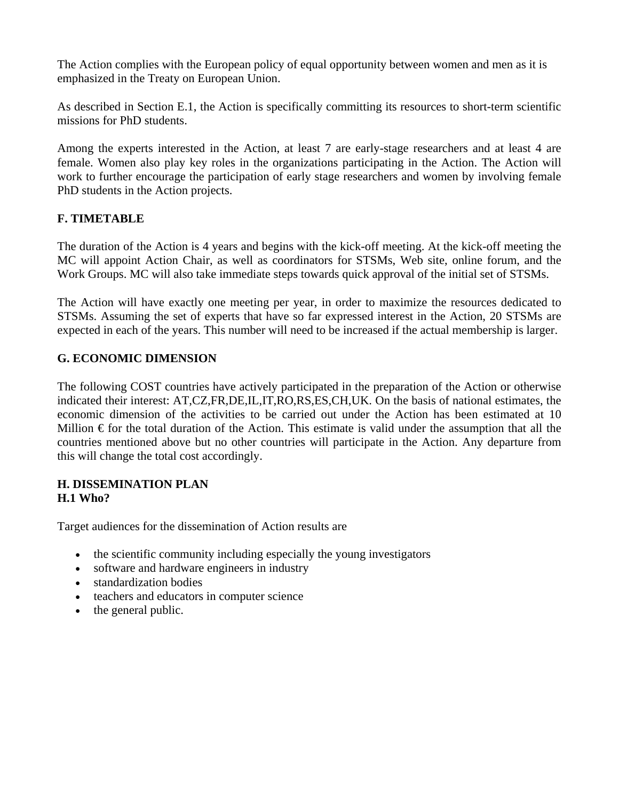The Action complies with the European policy of equal opportunity between women and men as it is emphasized in the Treaty on European Union.

As described in Section E.1, the Action is specifically committing its resources to short-term scientific missions for PhD students.

Among the experts interested in the Action, at least 7 are early-stage researchers and at least 4 are female. Women also play key roles in the organizations participating in the Action. The Action will work to further encourage the participation of early stage researchers and women by involving female PhD students in the Action projects.

#### **F. TIMETABLE**

The duration of the Action is 4 years and begins with the kick-off meeting. At the kick-off meeting the MC will appoint Action Chair, as well as coordinators for STSMs, Web site, online forum, and the Work Groups. MC will also take immediate steps towards quick approval of the initial set of STSMs.

The Action will have exactly one meeting per year, in order to maximize the resources dedicated to STSMs. Assuming the set of experts that have so far expressed interest in the Action, 20 STSMs are expected in each of the years. This number will need to be increased if the actual membership is larger.

### **G. ECONOMIC DIMENSION**

The following COST countries have actively participated in the preparation of the Action or otherwise indicated their interest: AT,CZ,FR,DE,IL,IT,RO,RS,ES,CH,UK. On the basis of national estimates, the economic dimension of the activities to be carried out under the Action has been estimated at 10 Million  $\epsilon$  for the total duration of the Action. This estimate is valid under the assumption that all the countries mentioned above but no other countries will participate in the Action. Any departure from this will change the total cost accordingly.

#### **H. DISSEMINATION PLAN H.1 Who?**

Target audiences for the dissemination of Action results are

- the scientific community including especially the young investigators
- software and hardware engineers in industry
- standardization bodies
- teachers and educators in computer science
- the general public.